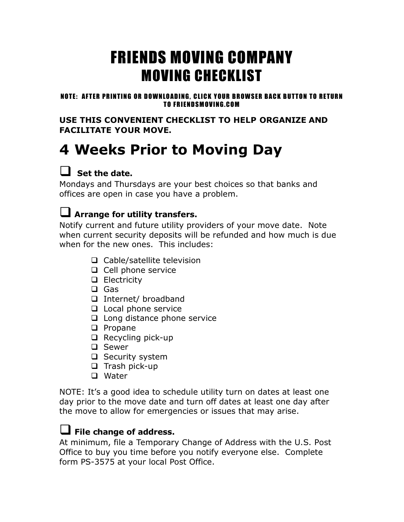# FRIENDS MOVING COMPANY MOVING CHECKLIST

#### NOTE: AFTER PRINTING OR DOWNLOADING, CLICK YOUR BROWSER BACK BUTTON TO RETURN TO FRIENDSMOVING.COM

**USE THIS CONVENIENT CHECKLIST TO HELP ORGANIZE AND FACILITATE YOUR MOVE.**

# **4 Weeks Prior to Moving Day**

## **Set the date.**

Mondays and Thursdays are your best choices so that banks and offices are open in case you have a problem.

## **Arrange for utility transfers.**

Notify current and future utility providers of your move date. Note when current security deposits will be refunded and how much is due when for the new ones. This includes:

- □ Cable/satellite television
- $\Box$  Cell phone service
- **Q** Electricity
- □ Gas
- Internet/ broadband
- $\Box$  Local phone service
- $\Box$  Long distance phone service
- $\Box$  Propane
- $\Box$  Recycling pick-up
- □ Sewer
- $\Box$  Security system
- $\Box$  Trash pick-up
- □ Water

NOTE: It's a good idea to schedule utility turn on dates at least one day prior to the move date and turn off dates at least one day after the move to allow for emergencies or issues that may arise.

## **File change of address.**

At minimum, file a Temporary Change of Address with the U.S. Post Office to buy you time before you notify everyone else. Complete form PS-3575 at your local Post Office.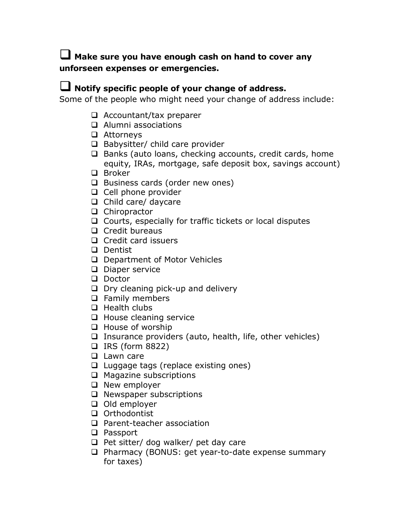#### **Make sure you have enough cash on hand to cover any unforseen expenses or emergencies.**

#### **Notify specific people of your change of address.**

Some of the people who might need your change of address include:

- $\Box$  Accountant/tax preparer
- □ Alumni associations
- Attorneys
- $\Box$  Babysitter/ child care provider
- $\Box$  Banks (auto loans, checking accounts, credit cards, home equity, IRAs, mortgage, safe deposit box, savings account)
- □ Broker
- $\Box$  Business cards (order new ones)
- $\Box$  Cell phone provider
- $\Box$  Child care/ daycare
- □ Chiropractor
- $\Box$  Courts, especially for traffic tickets or local disputes
- $\Box$  Credit bureaus
- $\Box$  Credit card issuers
- Dentist
- D Department of Motor Vehicles
- D Diaper service
- Doctor
- $\Box$  Dry cleaning pick-up and delivery
- **Q** Family members
- $\Box$  Health clubs
- $\Box$  House cleaning service
- $\Box$  House of worship
- $\Box$  Insurance providers (auto, health, life, other vehicles)
- $\Box$  IRS (form 8822)
- **Lawn care**
- $\Box$  Luggage tags (replace existing ones)
- □ Magazine subscriptions
- $\Box$  New employer
- □ Newspaper subscriptions
- $\Box$  Old employer
- □ Orthodontist
- □ Parent-teacher association
- **Q** Passport
- $\Box$  Pet sitter/ dog walker/ pet day care
- □ Pharmacy (BONUS: get year-to-date expense summary for taxes)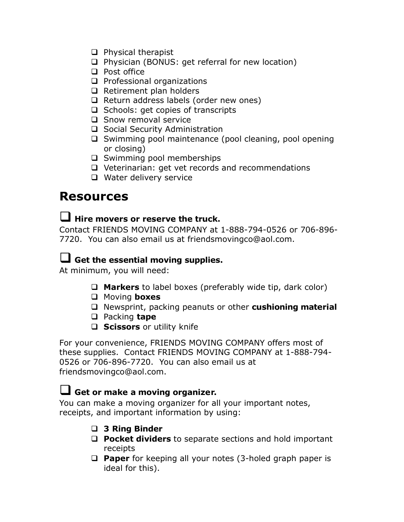- $\Box$  Physical therapist
- □ Physician (BONUS: get referral for new location)
- □ Post office
- $\Box$  Professional organizations
- $\Box$  Retirement plan holders
- $\Box$  Return address labels (order new ones)
- $\Box$  Schools: get copies of transcripts
- □ Snow removal service
- □ Social Security Administration
- $\Box$  Swimming pool maintenance (pool cleaning, pool opening or closing)
- $\square$  Swimming pool memberships
- □ Veterinarian: get vet records and recommendations
- □ Water delivery service

## **Resources**

#### **Hire movers or reserve the truck.**

Contact FRIENDS MOVING COMPANY at 1-888-794-0526 or 706-896- 7720. You can also email us at friendsmovingco@aol.com.

### **Get the essential moving supplies.**

At minimum, you will need:

- **Markers** to label boxes (preferably wide tip, dark color)
- Moving **boxes**
- Newsprint, packing peanuts or other **cushioning material**
- Packing **tape**
- **Scissors** or utility knife

For your convenience, FRIENDS MOVING COMPANY offers most of these supplies. Contact FRIENDS MOVING COMPANY at 1-888-794- 0526 or 706-896-7720. You can also email us at friendsmovingco@aol.com.

#### **Get or make <sup>a</sup> moving organizer.**

You can make a moving organizer for all your important notes, receipts, and important information by using:

- **3 Ring Binder**
- **Pocket dividers** to separate sections and hold important receipts
- **Paper** for keeping all your notes (3-holed graph paper is ideal for this).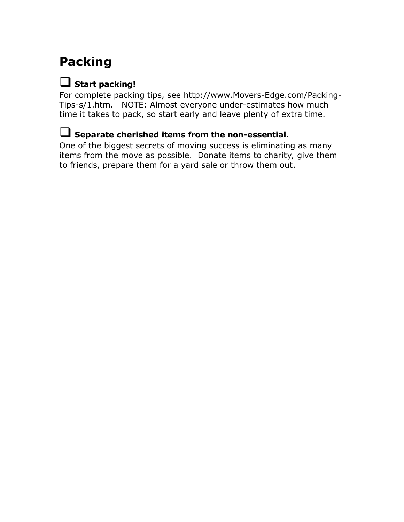## **Packing**

## **Start packing!**

For complete packing tips, see http://www.Movers-Edge.com/Packing-Tips-s/1.htm. NOTE: Almost everyone under-estimates how much time it takes to pack, so start early and leave plenty of extra time.

### **Separate cherished items from the non-essential.**

One of the biggest secrets of moving success is eliminating as many items from the move as possible. Donate items to charity, give them to friends, prepare them for a yard sale or throw them out.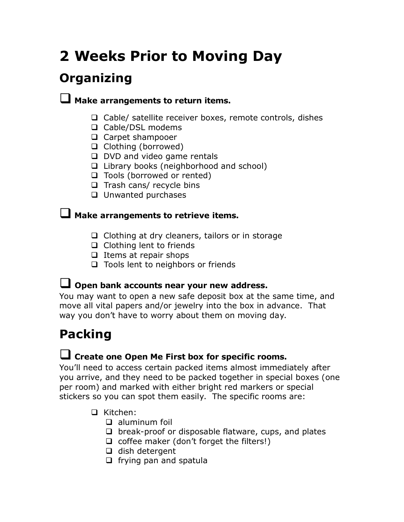# **2 Weeks Prior to Moving Day**

## **Organizing**

#### **Make arrangements to return items.**

- $\Box$  Cable/ satellite receiver boxes, remote controls, dishes
- □ Cable/DSL modems
- □ Carpet shampooer
- $\Box$  Clothing (borrowed)
- D DVD and video game rentals
- $\Box$  Library books (neighborhood and school)
- □ Tools (borrowed or rented)
- $\Box$  Trash cans/ recycle bins
- **U** Unwanted purchases

#### **Make arrangements to retrieve items.**

- $\Box$  Clothing at dry cleaners, tailors or in storage
- □ Clothing lent to friends
- $\Box$  Items at repair shops
- □ Tools lent to neighbors or friends

#### **Open bank accounts near your new address.**

You may want to open a new safe deposit box at the same time, and move all vital papers and/or jewelry into the box in advance. That way you don't have to worry about them on moving day.

## **Packing**

#### **Create one Open Me First box for specific rooms.**

You'll need to access certain packed items almost immediately after you arrive, and they need to be packed together in special boxes (one per room) and marked with either bright red markers or special stickers so you can spot them easily. The specific rooms are:

- Kitchen:
	- $\Box$  aluminum foil
	- $\Box$  break-proof or disposable flatware, cups, and plates
	- $\Box$  coffee maker (don't forget the filters!)
	- $\Box$  dish detergent
	- $\Box$  frying pan and spatula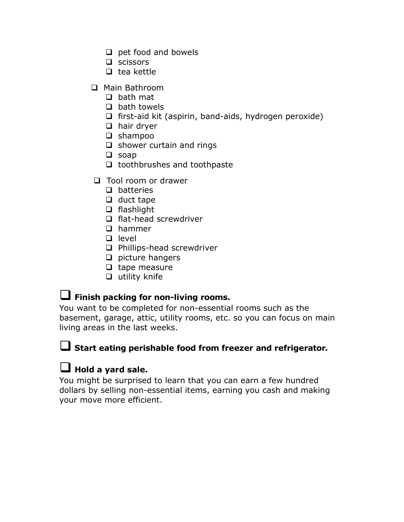- $\Box$  pet food and bowels
- $\Box$  scissors
- $\Box$  tea kettle
- □ Main Bathroom
	- $\Box$  bath mat
	- $\Box$  bath towels
	- $\Box$  first-aid kit (aspirin, band-aids, hydrogen peroxide)
	- $\Box$  hair dryer
	- $\Box$  shampoo
	- $\Box$  shower curtain and rings
	- $\Box$  soap
	- $\Box$  toothbrushes and toothpaste
- $\Box$  Tool room or drawer
	- $\Box$  batteries
	- $\Box$  duct tape
	- $\Box$  flashlight
	- $\Box$  flat-head screwdriver
	- □ hammer
	- $\Box$  level
	- □ Phillips-head screwdriver
	- $\Box$  picture hangers
	- $\Box$  tape measure
	- $\Box$  utility knife

#### **Finish packing for non-living rooms.**

You want to be completed for non-essential rooms such as the basement, garage, attic, utility rooms, etc. so you can focus on main living areas in the last weeks.

#### **Start eating perishable food from freezer and refrigerator.**

#### **Hold <sup>a</sup> yard sale.**

You might be surprised to learn that you can earn a few hundred dollars by selling non-essential items, earning you cash and making your move more efficient.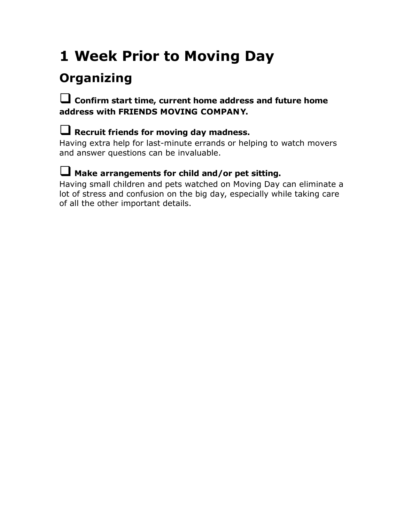# **1 Week Prior to Moving Day**

## **Organizing**

#### **Confirm start time, current home address and future home address with FRIENDS MOVING COMPANY.**

#### **Recruit friends for moving day madness.**

Having extra help for last-minute errands or helping to watch movers and answer questions can be invaluable.

#### **Make arrangements for child and/or pet sitting.**

Having small children and pets watched on Moving Day can eliminate a lot of stress and confusion on the big day, especially while taking care of all the other important details.